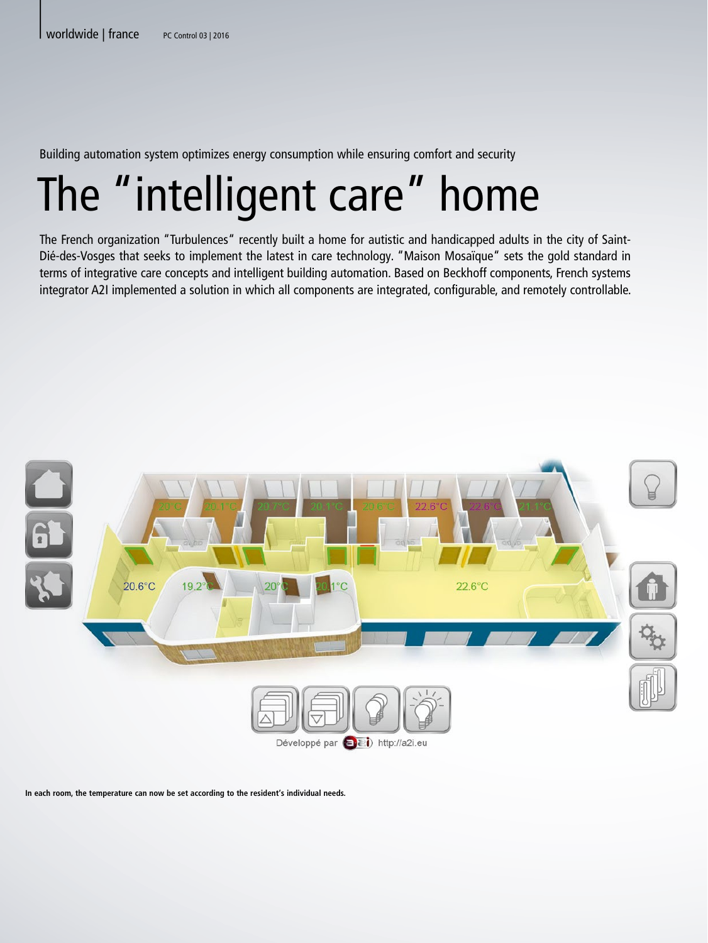Building automation system optimizes energy consumption while ensuring comfort and security

## The "intelligent care" home

The French organization "Turbulences" recently built a home for autistic and handicapped adults in the city of Saint-Dié-des-Vosges that seeks to implement the latest in care technology. "Maison Mosaïque" sets the gold standard in terms of integrative care concepts and intelligent building automation. Based on Beckhoff components, French systems integrator A2I implemented a solution in which all components are integrated, configurable, and remotely controllable.



**In each room, the temperature can now be set according to the resident's individual needs.**